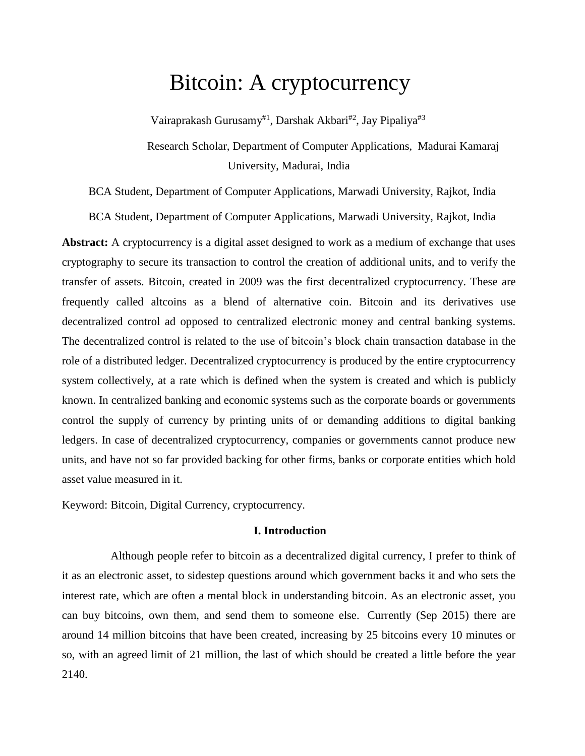# Bitcoin: A cryptocurrency

Vairaprakash Gurusamy<sup>#1</sup>, Darshak Akbari<sup>#2</sup>, Jay Pipaliya<sup>#3</sup>

Research Scholar, Department of Computer Applications, Madurai Kamaraj University, Madurai, India

BCA Student, Department of Computer Applications, Marwadi University, Rajkot, India

BCA Student, Department of Computer Applications, Marwadi University, Rajkot, India

**Abstract:** A cryptocurrency is a digital asset designed to work as a medium of exchange that uses cryptography to secure its transaction to control the creation of additional units, and to verify the transfer of assets. Bitcoin, created in 2009 was the first decentralized cryptocurrency. These are frequently called altcoins as a blend of alternative coin. Bitcoin and its derivatives use decentralized control ad opposed to centralized electronic money and central banking systems. The decentralized control is related to the use of bitcoin's block chain transaction database in the role of a distributed ledger. Decentralized cryptocurrency is produced by the entire cryptocurrency system collectively, at a rate which is defined when the system is created and which is publicly known. In centralized banking and economic systems such as the corporate boards or governments control the supply of currency by printing units of or demanding additions to digital banking ledgers. In case of decentralized cryptocurrency, companies or governments cannot produce new units, and have not so far provided backing for other firms, banks or corporate entities which hold asset value measured in it.

Keyword: Bitcoin, Digital Currency, cryptocurrency.

# **I. Introduction**

 Although people refer to bitcoin as a decentralized digital currency, I prefer to think of it as an electronic asset, to sidestep questions around which government backs it and who sets the interest rate, which are often a mental block in understanding bitcoin. As an electronic asset, you can buy bitcoins, own them, and send them to someone else. Currently (Sep 2015) there are around 14 million bitcoins that have been created, increasing by 25 bitcoins every 10 minutes or so, with an agreed limit of 21 million, the last of which should be created a little before the year 2140.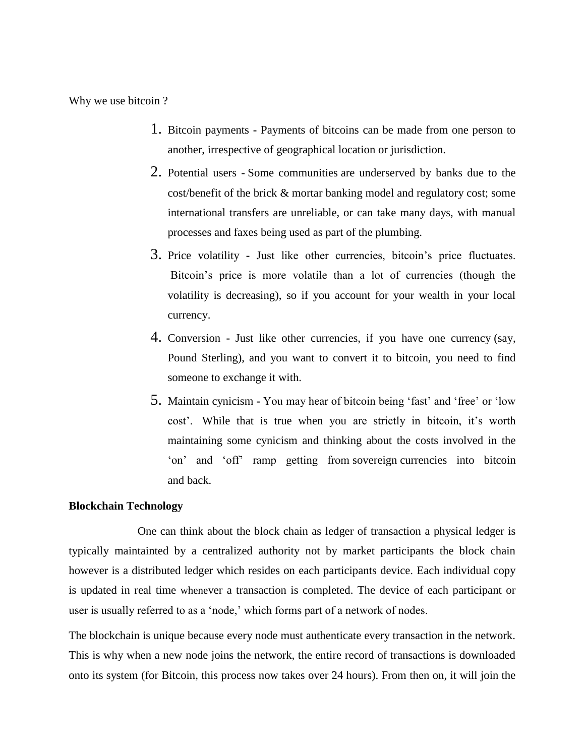Why we use bitcoin ?

- 1. Bitcoin payments **-** Payments of bitcoins can be made from one person to another, irrespective of geographical location or jurisdiction.
- 2. Potential users Some communities are underserved by banks due to the cost/benefit of the brick & mortar banking model and regulatory cost; some international transfers are unreliable, or can take many days, with manual processes and faxes being used as part of the plumbing.
- 3. Price volatility **-** Just like other currencies, bitcoin's price fluctuates. Bitcoin's price is more volatile than a lot of currencies (though the volatility is decreasing), so if you account for your wealth in your local currency.
- 4. Conversion **-** Just like other currencies, if you have one currency (say, Pound Sterling), and you want to convert it to bitcoin, you need to find someone to exchange it with.
- 5. Maintain cynicism **-** You may hear of bitcoin being 'fast' and 'free' or 'low cost'. While that is true when you are strictly in bitcoin, it's worth maintaining some cynicism and thinking about the costs involved in the 'on' and 'off' ramp getting from sovereign currencies into bitcoin and back.

#### **Blockchain Technology**

One can think about the block chain as ledger of transaction a physical ledger is typically maintainted by a centralized authority not by market participants the block chain however is a distributed ledger which resides on each participants device. Each individual copy is updated in real time whenever a transaction is completed. The device of each participant or user is usually referred to as a 'node,' which forms part of a network of nodes.

The blockchain is unique because every node must authenticate every transaction in the network. This is why when a new node joins the network, the entire record of transactions is downloaded onto its system (for Bitcoin, this process now takes over 24 hours). From then on, it will join the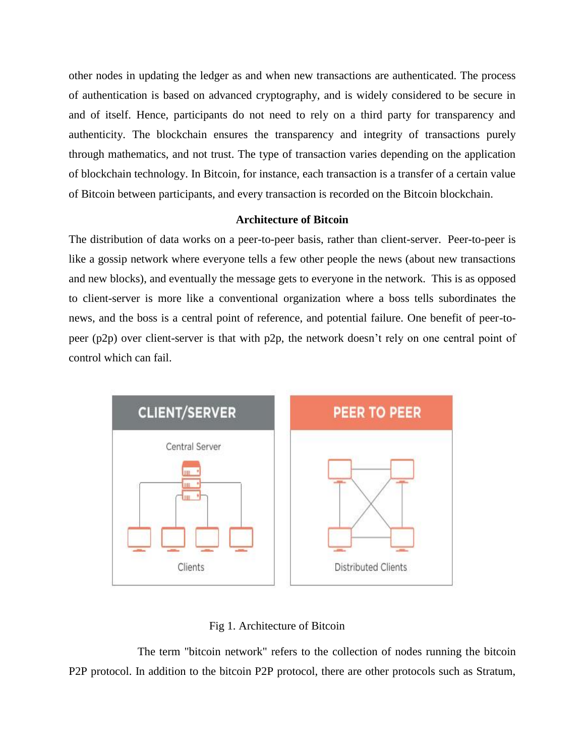other nodes in updating the ledger as and when new transactions are authenticated. The process of authentication is based on advanced cryptography, and is widely considered to be secure in and of itself. Hence, participants do not need to rely on a third party for transparency and authenticity. The blockchain ensures the transparency and integrity of transactions purely through mathematics, and not trust. The type of transaction varies depending on the application of blockchain technology. In Bitcoin, for instance, each transaction is a transfer of a certain value of Bitcoin between participants, and every transaction is recorded on the Bitcoin blockchain.

## **Architecture of Bitcoin**

The distribution of data works on a peer-to-peer basis, rather than client-server. Peer-to-peer is like a gossip network where everyone tells a few other people the news (about new transactions and new blocks), and eventually the message gets to everyone in the network. This is as opposed to client-server is more like a conventional organization where a boss tells subordinates the news, and the boss is a central point of reference, and potential failure. One benefit of peer-topeer (p2p) over client-server is that with p2p, the network doesn't rely on one central point of control which can fail.



#### Fig 1. Architecture of Bitcoin

The term "bitcoin network" refers to the collection of nodes running the bitcoin P2P protocol. In addition to the bitcoin P2P protocol, there are other protocols such as Stratum,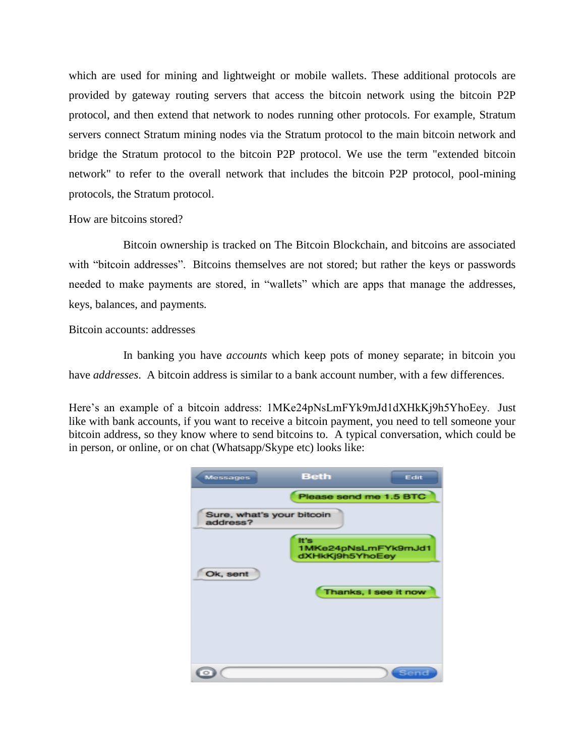which are used for mining and lightweight or mobile wallets. These additional protocols are provided by gateway routing servers that access the bitcoin network using the bitcoin P2P protocol, and then extend that network to nodes running other protocols. For example, Stratum servers connect Stratum mining nodes via the Stratum protocol to the main bitcoin network and bridge the Stratum protocol to the bitcoin P2P protocol. We use the term "extended bitcoin network" to refer to the overall network that includes the bitcoin P2P protocol, pool-mining protocols, the Stratum protocol.

# How are bitcoins stored?

 Bitcoin ownership is tracked on The Bitcoin Blockchain, and bitcoins are associated with "bitcoin addresses". Bitcoins themselves are not stored; but rather the keys or passwords needed to make payments are stored, in "wallets" which are apps that manage the addresses, keys, balances, and payments*.*

# Bitcoin accounts: addresses

 In banking you have *accounts* which keep pots of money separate; in bitcoin you have *addresses*. A bitcoin address is similar to a bank account number, with a few differences.

Here's an example of a bitcoin address: 1MKe24pNsLmFYk9mJd1dXHkKj9h5YhoEey. Just like with bank accounts, if you want to receive a bitcoin payment, you need to tell someone your bitcoin address, so they know where to send bitcoins to. A typical conversation, which could be in person, or online, or on chat (Whatsapp/Skype etc) looks like:

| <b>Messages</b>                       | <b>Beth</b>             | Edit                 |
|---------------------------------------|-------------------------|----------------------|
|                                       | Please send me 1.5 BTC  |                      |
| Sure, what's your bitcoin<br>address? |                         |                      |
|                                       | It's<br>dXHkKj9h5YhoEey | 1MKe24pNsLmFYk9mJd1  |
| Ok, sent                              |                         |                      |
|                                       |                         | Thanks, I see it now |
|                                       |                         |                      |
|                                       |                         |                      |
|                                       |                         | Send                 |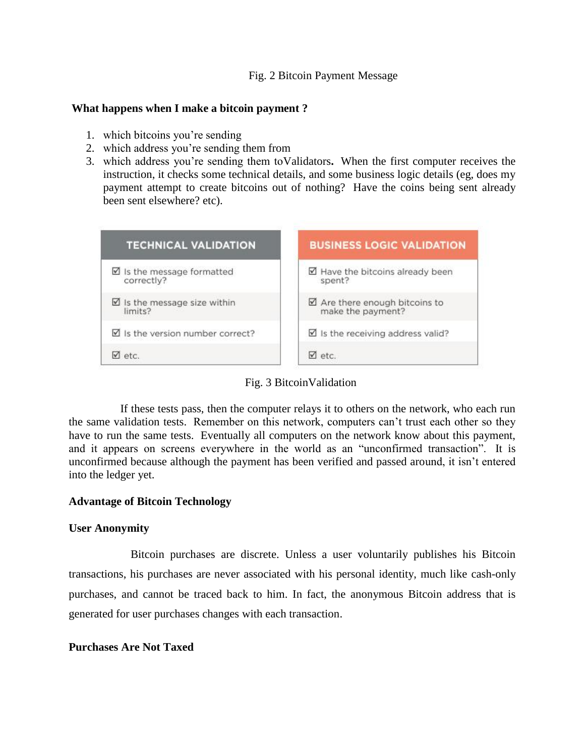## Fig. 2 Bitcoin Payment Message

## **What happens when I make a bitcoin payment ?**

- 1. which bitcoins you're sending
- 2. which address you're sending them from
- 3. which address you're sending them toValidators**.** When the first computer receives the instruction, it checks some technical details, and some business logic details (eg, does my payment attempt to create bitcoins out of nothing? Have the coins being sent already been sent elsewhere? etc).



Fig. 3 BitcoinValidation

If these tests pass, then the computer relays it to others on the network, who each run the same validation tests. Remember on this network, computers can't trust each other so they have to run the same tests. Eventually all computers on the network know about this payment, and it appears on screens everywhere in the world as an "unconfirmed transaction". It is unconfirmed because although the payment has been verified and passed around, it isn't entered into the ledger yet.

# **Advantage of Bitcoin Technology**

#### **User Anonymity**

Bitcoin purchases are discrete. Unless a user voluntarily publishes his Bitcoin transactions, his purchases are never associated with his personal identity, much like cash-only purchases, and cannot be traced back to him. In fact, the anonymous Bitcoin address that is generated for user purchases changes with each transaction.

#### **Purchases Are Not Taxed**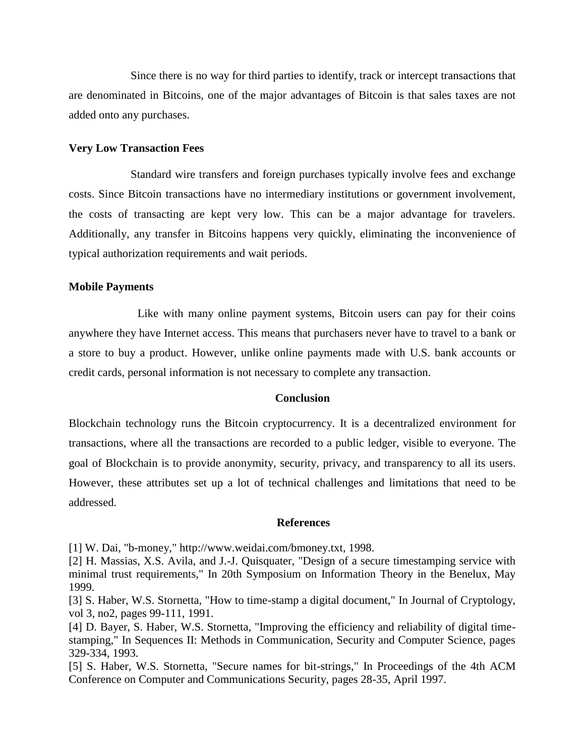Since there is no way for third parties to identify, track or intercept transactions that are denominated in Bitcoins, one of the major advantages of Bitcoin is that sales taxes are not added onto any purchases.

#### **Very Low Transaction Fees**

Standard wire transfers and foreign purchases typically involve fees and exchange costs. Since Bitcoin transactions have no intermediary institutions or government involvement, the costs of transacting are kept very low. This can be a major advantage for travelers. Additionally, any transfer in Bitcoins happens very quickly, eliminating the inconvenience of typical authorization requirements and wait periods.

#### **Mobile Payments**

Like with many online payment systems, Bitcoin users can pay for their coins anywhere they have Internet access. This means that purchasers never have to travel to a bank or a store to buy a product. However, unlike online payments made with U.S. bank accounts or credit cards, personal information is not necessary to complete any transaction.

#### **Conclusion**

Blockchain technology runs the Bitcoin cryptocurrency. It is a decentralized environment for transactions, where all the transactions are recorded to a public ledger, visible to everyone. The goal of Blockchain is to provide anonymity, security, privacy, and transparency to all its users. However, these attributes set up a lot of technical challenges and limitations that need to be addressed.

#### **References**

[1] W. Dai, "b-money," http://www.weidai.com/bmoney.txt, 1998.

[2] H. Massias, X.S. Avila, and J.-J. Quisquater, "Design of a secure timestamping service with minimal trust requirements," In 20th Symposium on Information Theory in the Benelux, May 1999.

[3] S. Haber, W.S. Stornetta, "How to time-stamp a digital document," In Journal of Cryptology, vol 3, no2, pages 99-111, 1991.

[4] D. Bayer, S. Haber, W.S. Stornetta, "Improving the efficiency and reliability of digital timestamping," In Sequences II: Methods in Communication, Security and Computer Science, pages 329-334, 1993.

[5] S. Haber, W.S. Stornetta, "Secure names for bit-strings," In Proceedings of the 4th ACM Conference on Computer and Communications Security, pages 28-35, April 1997.